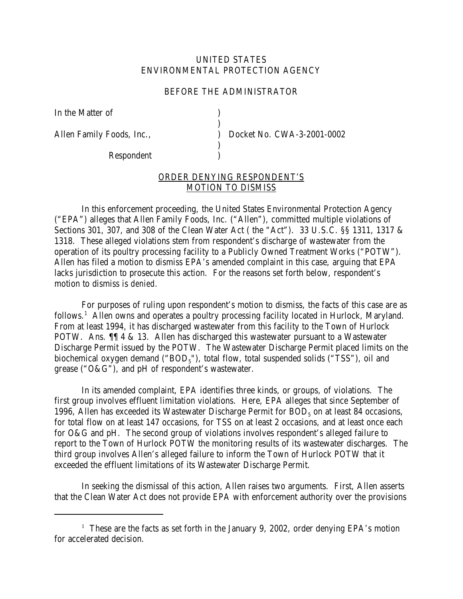# UNITED STATES ENVIRONMENTAL PROTECTION AGENCY

### BEFORE THE ADMINISTRATOR

)

)

In the Matter of (1)

Respondent )

Allen Family Foods, Inc.,  $Docket No. CWA-3-2001-0002$ 

# ORDER DENYING RESPONDENT'S MOTION TO DISMISS

In this enforcement proceeding, the United States Environmental Protection Agency ("EPA") alleges that Allen Family Foods, Inc. ("Allen"), committed multiple violations of Sections 301, 307, and 308 of the Clean Water Act ( the "Act"). 33 U.S.C. §§ 1311, 1317 & 1318. These alleged violations stem from respondent's discharge of wastewater from the operation of its poultry processing facility to a Publicly Owned Treatment Works ("POTW"). Allen has filed a motion to dismiss EPA's amended complaint in this case, arguing that EPA lacks jurisdiction to prosecute this action. For the reasons set forth below, respondent's motion to dismiss is *denied*.

For purposes of ruling upon respondent's motion to dismiss, the facts of this case are as follows.<sup>1</sup> Allen owns and operates a poultry processing facility located in Hurlock, Maryland. From at least 1994, it has discharged wastewater from this facility to the Town of Hurlock POTW. Ans. ¶¶ 4 & 13. Allen has discharged this wastewater pursuant to a Wastewater Discharge Permit issued by the POTW. The Wastewater Discharge Permit placed limits on the biochemical oxygen demand (" $BOD<sub>5</sub>$ "), total flow, total suspended solids ("TSS"), oil and grease ("O&G"), and pH of respondent's wastewater.

In its amended complaint, EPA identifies three kinds, or groups, of violations. The first group involves effluent limitation violations. Here, EPA alleges that since September of 1996, Allen has exceeded its Wastewater Discharge Permit for  $BOD<sub>5</sub>$  on at least 84 occasions, for total flow on at least 147 occasions, for TSS on at least 2 occasions, and at least once each for O&G and pH. The second group of violations involves respondent's alleged failure to report to the Town of Hurlock POTW the monitoring results of its wastewater discharges. The third group involves Allen's alleged failure to inform the Town of Hurlock POTW that it exceeded the effluent limitations of its Wastewater Discharge Permit.

In seeking the dismissal of this action, Allen raises two arguments. First, Allen asserts that the Clean Water Act does not provide EPA with enforcement authority over the provisions

<sup>&</sup>lt;sup>1</sup> These are the facts as set forth in the January 9, 2002, order denying EPA's motion for accelerated decision.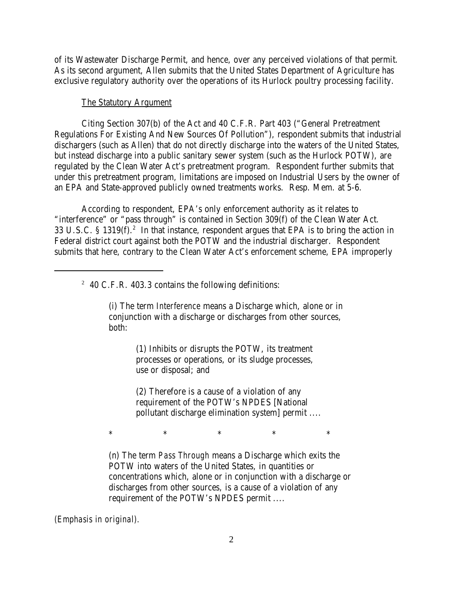of its Wastewater Discharge Permit, and hence, over any perceived violations of that permit. As its second argument, Allen submits that the United States Department of Agriculture has exclusive regulatory authority over the operations of its Hurlock poultry processing facility.

#### The Statutory Argument

Citing Section 307(b) of the Act and 40 C.F.R. Part 403 ("General Pretreatment Regulations For Existing And New Sources Of Pollution"), respondent submits that industrial dischargers (such as Allen) that do not directly discharge into the waters of the United States, but instead discharge into a public sanitary sewer system (such as the Hurlock POTW), are regulated by the Clean Water Act's pretreatment program. Respondent further submits that under this pretreatment program, limitations are imposed on Industrial Users by the owner of an EPA and State-approved publicly owned treatments works. Resp. Mem. at 5-6.

According to respondent, EPA's only enforcement authority as it relates to "interference" or "pass through" is contained in Section 309(f) of the Clean Water Act. 33 U.S.C. § 1319 $(f)$ .<sup>2</sup> In that instance, respondent argues that EPA is to bring the action in Federal district court against both the POTW and the industrial discharger. Respondent submits that here, contrary to the Clean Water Act's enforcement scheme, EPA improperly

# $2\,$  40 C.F.R. 403.3 contains the following definitions:

(i) The term *Interference* means a Discharge which, alone or in conjunction with a discharge or discharges from other sources, both:

> (1) Inhibits or disrupts the POTW, its treatment processes or operations, or its sludge processes, use or disposal; and

(2) Therefore is a cause of a violation of any requirement of the POTW's NPDES [National pollutant discharge elimination system] permit ....

 $*$   $*$   $*$   $*$   $*$ 

(n) The term *Pass Through* means a Discharge which exits the POTW into waters of the United States, in quantities or concentrations which, alone or in conjunction with a discharge or discharges from other sources, is a cause of a violation of any requirement of the POTW's NPDES permit ....

*(Emphasis in original).*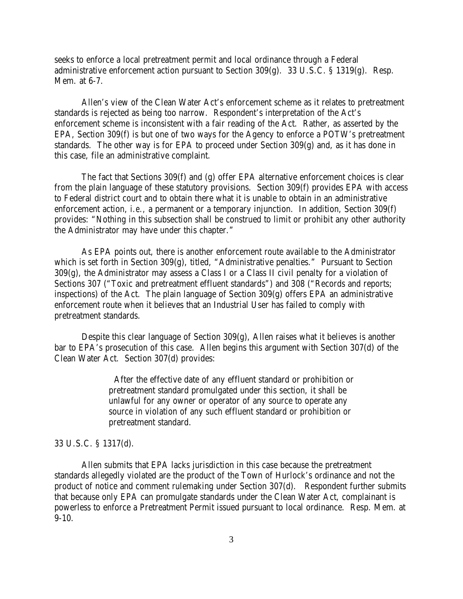seeks to enforce a local pretreatment permit and local ordinance through a Federal administrative enforcement action pursuant to Section 309(g). 33 U.S.C. § 1319(g). Resp. Mem. at 6-7.

Allen's view of the Clean Water Act's enforcement scheme as it relates to pretreatment standards is rejected as being too narrow. Respondent's interpretation of the Act's enforcement scheme is inconsistent with a fair reading of the Act. Rather, as asserted by the EPA, Section 309(f) is but one of two ways for the Agency to enforce a POTW's pretreatment standards. The other way is for EPA to proceed under Section 309(g) and, as it has done in this case, file an administrative complaint.

The fact that Sections 309(f) and (g) offer EPA alternative enforcement choices is clear from the plain language of these statutory provisions. Section 309(f) provides EPA with access to Federal district court and to obtain there what it is unable to obtain in an administrative enforcement action, *i.e.*, a permanent or a temporary injunction. In addition, Section 309(f) provides: "Nothing in this subsection shall be construed to limit or prohibit any other authority the Administrator may have under this chapter."

As EPA points out, there is another enforcement route available to the Administrator which is set forth in Section 309(g), titled, "Administrative penalties." Pursuant to Section  $309(g)$ , the Administrator may assess a Class I or a Class II civil penalty for a violation of Sections 307 ("Toxic and pretreatment effluent standards") and 308 ("Records and reports; inspections) of the Act. The plain language of Section 309(g) offers EPA an administrative enforcement route when it believes that an Industrial User has failed to comply with pretreatment standards.

Despite this clear language of Section 309(g), Allen raises what it believes is another bar to EPA's prosecution of this case. Allen begins this argument with Section 307(d) of the Clean Water Act. Section 307(d) provides:

> After the effective date of any effluent standard or prohibition or pretreatment standard promulgated under this section, it shall be unlawful for any owner or operator of any source to operate any source in violation of any such effluent standard or prohibition or pretreatment standard.

#### 33 U.S.C. § 1317(d).

Allen submits that EPA lacks jurisdiction in this case because the pretreatment standards allegedly violated are the product of the Town of Hurlock's ordinance and not the product of notice and comment rulemaking under Section 307(d). Respondent further submits that because only EPA can promulgate standards under the Clean Water Act, complainant is powerless to enforce a Pretreatment Permit issued pursuant to local ordinance. Resp. Mem. at 9-10.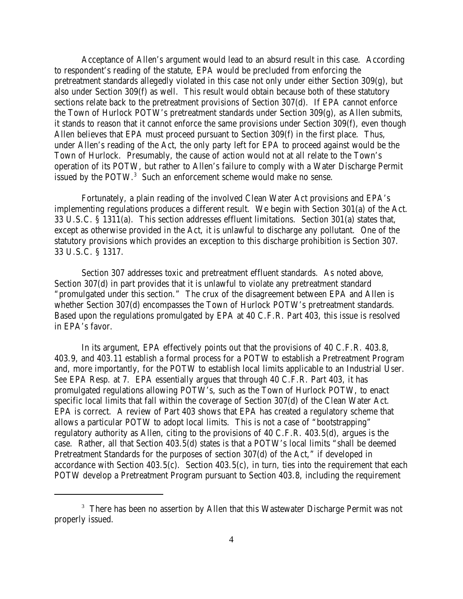Acceptance of Allen's argument would lead to an absurd result in this case. According to respondent's reading of the statute, EPA would be precluded from enforcing the pretreatment standards allegedly violated in this case not only under either Section 309(g), but also under Section 309(f) as well. This result would obtain because both of these statutory sections relate back to the pretreatment provisions of Section 307(d). If EPA cannot enforce the Town of Hurlock POTW's pretreatment standards under Section 309(g), as Allen submits, it stands to reason that it cannot enforce the same provisions under Section 309(f), even though Allen believes that EPA must proceed pursuant to Section 309(f) in the first place. Thus, under Allen's reading of the Act, the only party left for EPA to proceed against would be the Town of Hurlock. Presumably, the cause of action would not at all relate to the Town's operation of its POTW, but rather to Allen's failure to comply with a Water Discharge Permit issued by the POTW.<sup>3</sup> Such an enforcement scheme would make no sense.

Fortunately, a plain reading of the involved Clean Water Act provisions and EPA's implementing regulations produces a different result. We begin with Section 301(a) of the Act. 33 U.S.C. § 1311(a). This section addresses effluent limitations. Section 301(a) states that, except as otherwise provided in the Act, it is unlawful to discharge any pollutant. One of the statutory provisions which provides an exception to this discharge prohibition is Section 307. 33 U.S.C. § 1317.

Section 307 addresses toxic and pretreatment effluent standards. As noted above, Section 307(d) in part provides that it is unlawful to violate any pretreatment standard "promulgated under this section." The crux of the disagreement between EPA and Allen is whether Section 307(d) encompasses the Town of Hurlock POTW's pretreatment standards. Based upon the regulations promulgated by EPA at 40 C.F.R. Part 403, this issue is resolved in EPA's favor.

In its argument, EPA effectively points out that the provisions of 40 C.F.R. 403.8, 403.9, and 403.11 establish a formal process for a POTW to establish a Pretreatment Program and, more importantly, for the POTW to establish local limits applicable to an Industrial User. *See* EPA Resp. at 7. EPA essentially argues that through 40 C.F.R. Part 403, it has promulgated regulations allowing POTW's, such as the Town of Hurlock POTW, to enact specific local limits that fall within the coverage of Section 307(d) of the Clean Water Act. EPA is correct. A review of Part 403 shows that EPA has created a regulatory scheme that allows a particular POTW to adopt local limits. This is not a case of "bootstrapping" regulatory authority as Allen, citing to the provisions of 40 C.F.R. 403.5(d), argues is the case. Rather, all that Section 403.5(d) states is that a POTW's local limits "shall be deemed Pretreatment Standards for the purposes of section 307(d) of the Act," if developed in accordance with Section 403.5(c). Section 403.5(c), in turn, ties into the requirement that each POTW develop a Pretreatment Program pursuant to Section 403.8, including the requirement

<sup>&</sup>lt;sup>3</sup> There has been no assertion by Allen that this Wastewater Discharge Permit was not properly issued.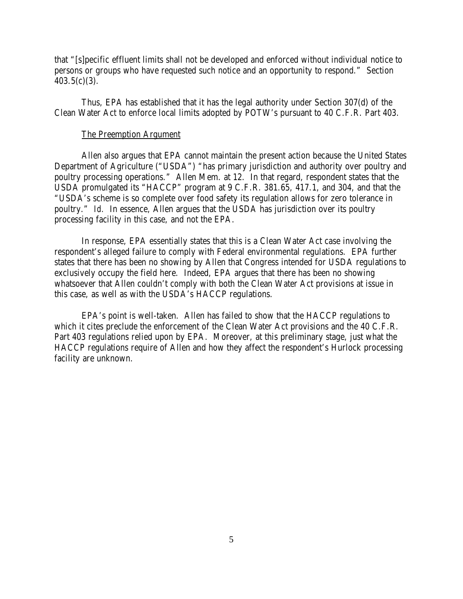that "[s]pecific effluent limits shall not be developed and enforced without individual notice to persons or groups who have requested such notice and an opportunity to respond." Section  $403.5(c)(3)$ .

Thus, EPA has established that it has the legal authority under Section 307(d) of the Clean Water Act to enforce local limits adopted by POTW's pursuant to 40 C.F.R. Part 403.

#### The Preemption Argument

Allen also argues that EPA cannot maintain the present action because the United States Department of Agriculture ("USDA") "has primary jurisdiction and authority over poultry and poultry processing operations." Allen Mem. at 12. In that regard, respondent states that the USDA promulgated its "HACCP" program at 9 C.F.R. 381.65, 417.1, and 304, and that the "USDA's scheme is so complete over food safety its regulation allows for zero tolerance in poultry." *Id.* In essence, Allen argues that the USDA has jurisdiction over its poultry processing facility in this case, and not the EPA.

In response, EPA essentially states that this is a Clean Water Act case involving the respondent's alleged failure to comply with Federal environmental regulations. EPA further states that there has been no showing by Allen that Congress intended for USDA regulations to exclusively occupy the field here. Indeed, EPA argues that there has been no showing whatsoever that Allen couldn't comply with both the Clean Water Act provisions at issue in this case, as well as with the USDA's HACCP regulations.

EPA's point is well-taken. Allen has failed to show that the HACCP regulations to which it cites preclude the enforcement of the Clean Water Act provisions and the 40 C.F.R. Part 403 regulations relied upon by EPA. Moreover, at this preliminary stage, just what the HACCP regulations require of Allen and how they affect the respondent's Hurlock processing facility are unknown.